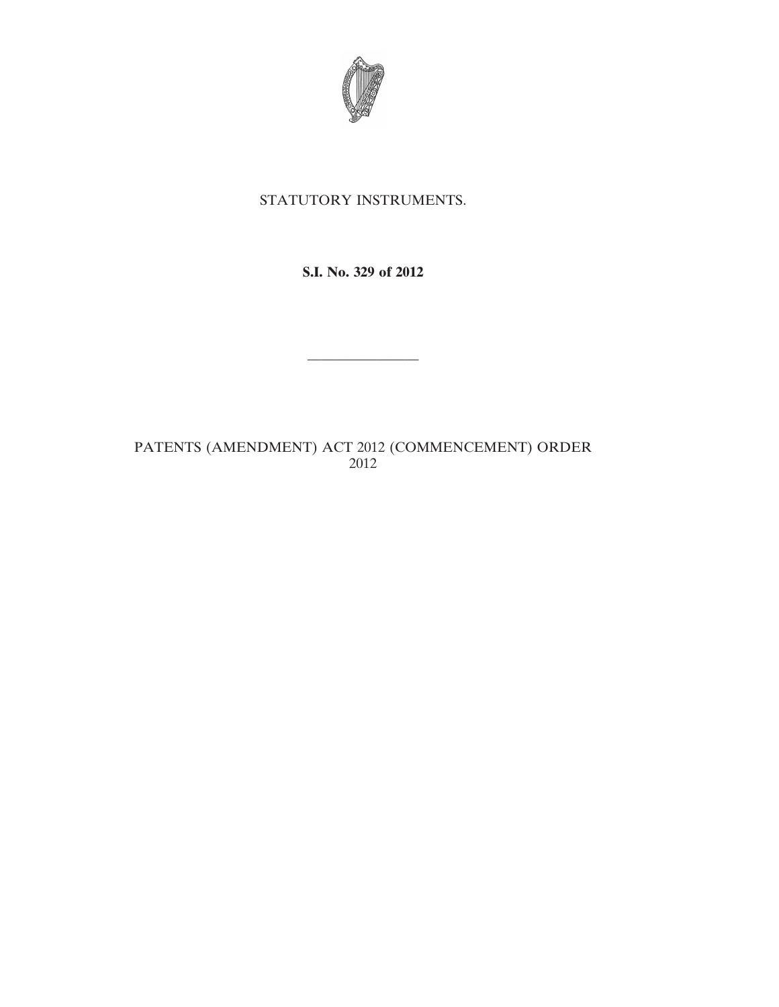

# STATUTORY INSTRUMENTS.

### **S.I. No. 329 of 2012**

————————

## PATENTS (AMENDMENT) ACT 2012 (COMMENCEMENT) ORDER 2012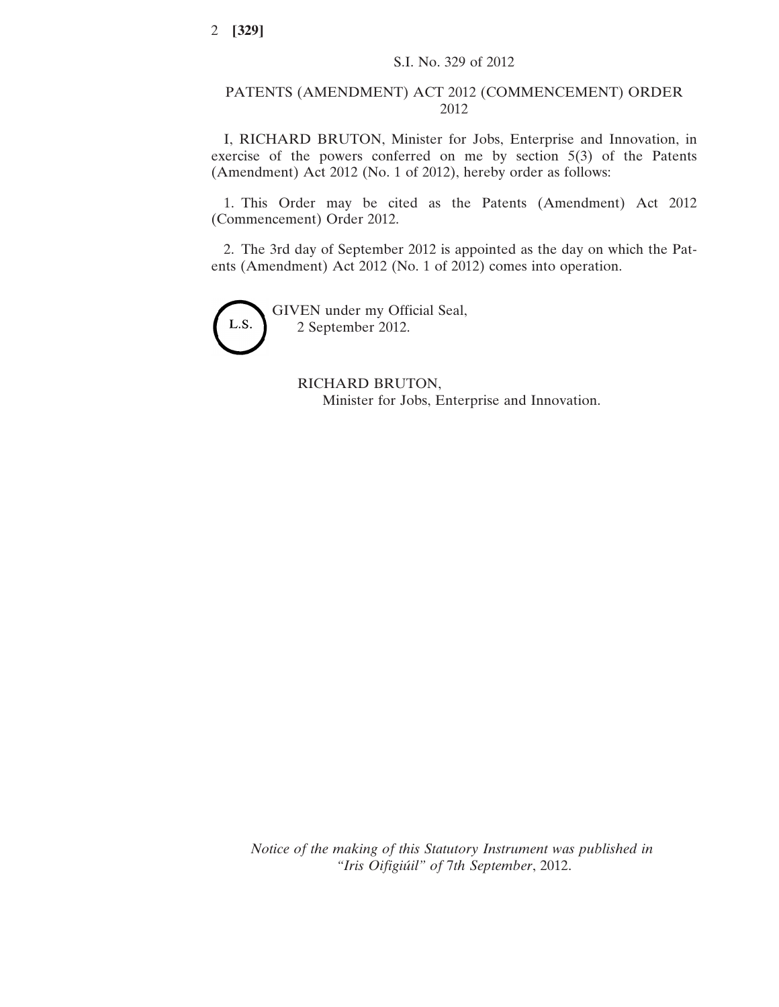#### PATENTS (AMENDMENT) ACT 2012 (COMMENCEMENT) ORDER 2012

I, RICHARD BRUTON, Minister for Jobs, Enterprise and Innovation, in exercise of the powers conferred on me by section 5(3) of the Patents (Amendment) Act 2012 (No. 1 of 2012), hereby order as follows:

1. This Order may be cited as the Patents (Amendment) Act 2012 (Commencement) Order 2012.

2. The 3rd day of September 2012 is appointed as the day on which the Patents (Amendment) Act 2012 (No. 1 of 2012) comes into operation.



GIVEN under my Official Seal, 2 September 2012.

> RICHARD BRUTON, Minister for Jobs, Enterprise and Innovation.

*Notice of the making of this Statutory Instrument was published in "Iris Oifigiúil" of* 7*th September*, 2012.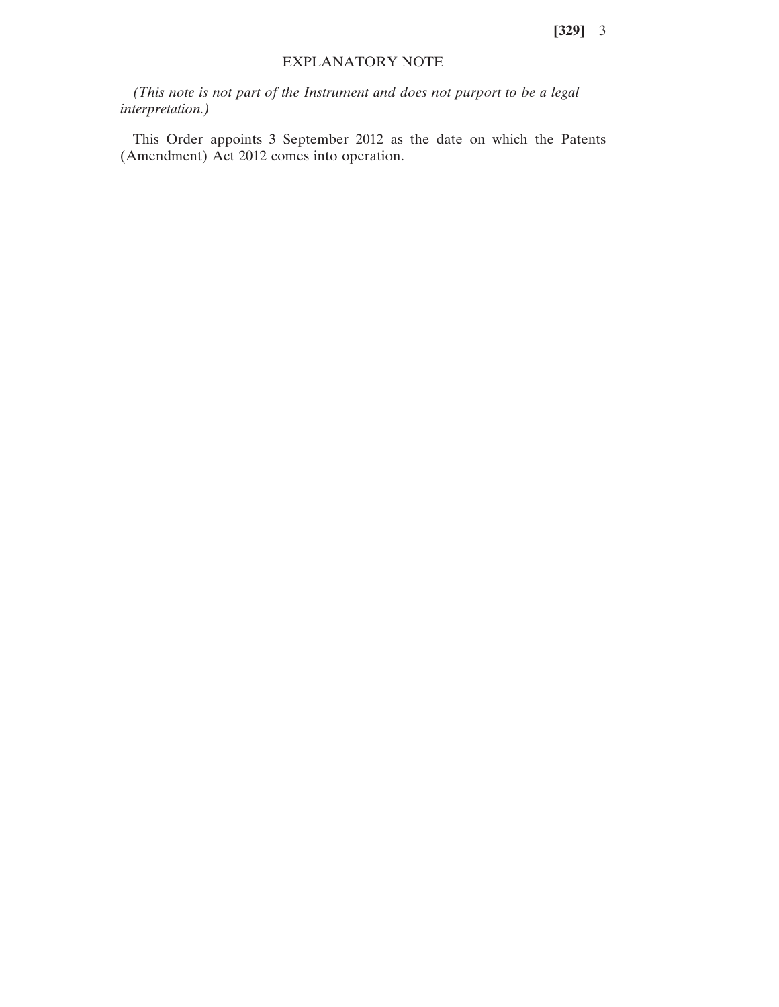#### EXPLANATORY NOTE

*(This note is not part of the Instrument and does not purport to be a legal interpretation.)*

This Order appoints 3 September 2012 as the date on which the Patents (Amendment) Act 2012 comes into operation.